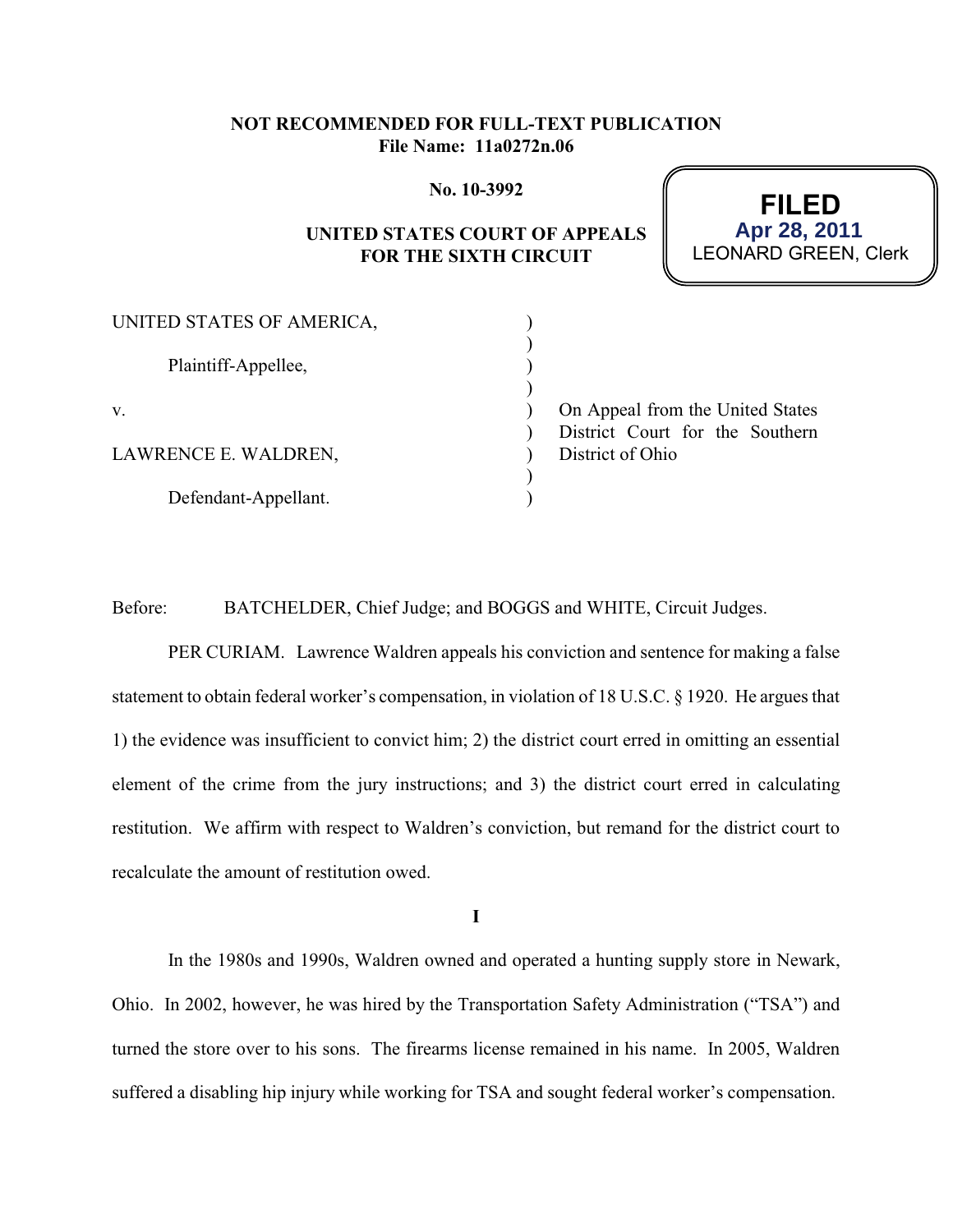## **NOT RECOMMENDED FOR FULL-TEXT PUBLICATION File Name: 11a0272n.06**

#### **No. 10-3992**

# **UNITED STATES COURT OF APPEALS FOR THE SIXTH CIRCUIT**



| UNITED STATES OF AMERICA, |                                  |
|---------------------------|----------------------------------|
|                           |                                  |
| Plaintiff-Appellee,       |                                  |
|                           |                                  |
| V.                        | On Appeal from the United States |
|                           | District Court for the Southern  |
| LAWRENCE E. WALDREN,      | District of Ohio                 |
|                           |                                  |
| Defendant-Appellant.      |                                  |

Before: BATCHELDER, Chief Judge; and BOGGS and WHITE, Circuit Judges.

PER CURIAM. Lawrence Waldren appeals his conviction and sentence for making a false statement to obtain federal worker's compensation, in violation of 18 U.S.C. § 1920. He argues that 1) the evidence was insufficient to convict him; 2) the district court erred in omitting an essential element of the crime from the jury instructions; and 3) the district court erred in calculating restitution. We affirm with respect to Waldren's conviction, but remand for the district court to recalculate the amount of restitution owed.

**I**

In the 1980s and 1990s, Waldren owned and operated a hunting supply store in Newark, Ohio. In 2002, however, he was hired by the Transportation Safety Administration ("TSA") and turned the store over to his sons. The firearms license remained in his name. In 2005, Waldren suffered a disabling hip injury while working for TSA and sought federal worker's compensation.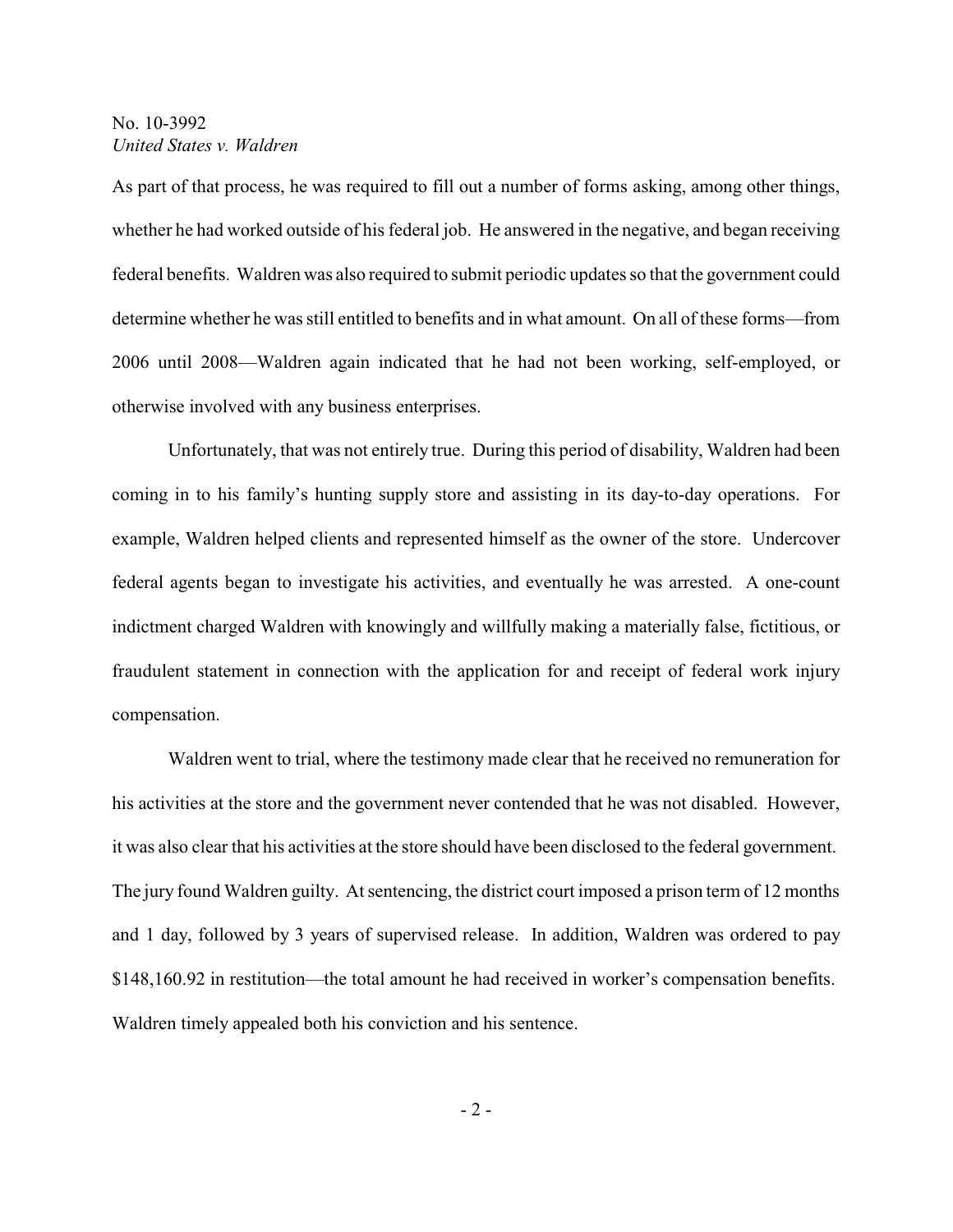As part of that process, he was required to fill out a number of forms asking, among other things, whether he had worked outside of his federal job. He answered in the negative, and began receiving federal benefits. Waldren was also required to submit periodic updates so that the government could determine whether he was still entitled to benefits and in what amount. On all of these forms—from 2006 until 2008—Waldren again indicated that he had not been working, self-employed, or otherwise involved with any business enterprises.

Unfortunately, that was not entirely true. During this period of disability, Waldren had been coming in to his family's hunting supply store and assisting in its day-to-day operations. For example, Waldren helped clients and represented himself as the owner of the store. Undercover federal agents began to investigate his activities, and eventually he was arrested. A one-count indictment charged Waldren with knowingly and willfully making a materially false, fictitious, or fraudulent statement in connection with the application for and receipt of federal work injury compensation.

Waldren went to trial, where the testimony made clear that he received no remuneration for his activities at the store and the government never contended that he was not disabled. However, it was also clear that his activities at the store should have been disclosed to the federal government. The jury found Waldren guilty. At sentencing, the district court imposed a prison term of 12 months and 1 day, followed by 3 years of supervised release. In addition, Waldren was ordered to pay \$148,160.92 in restitution—the total amount he had received in worker's compensation benefits. Waldren timely appealed both his conviction and his sentence.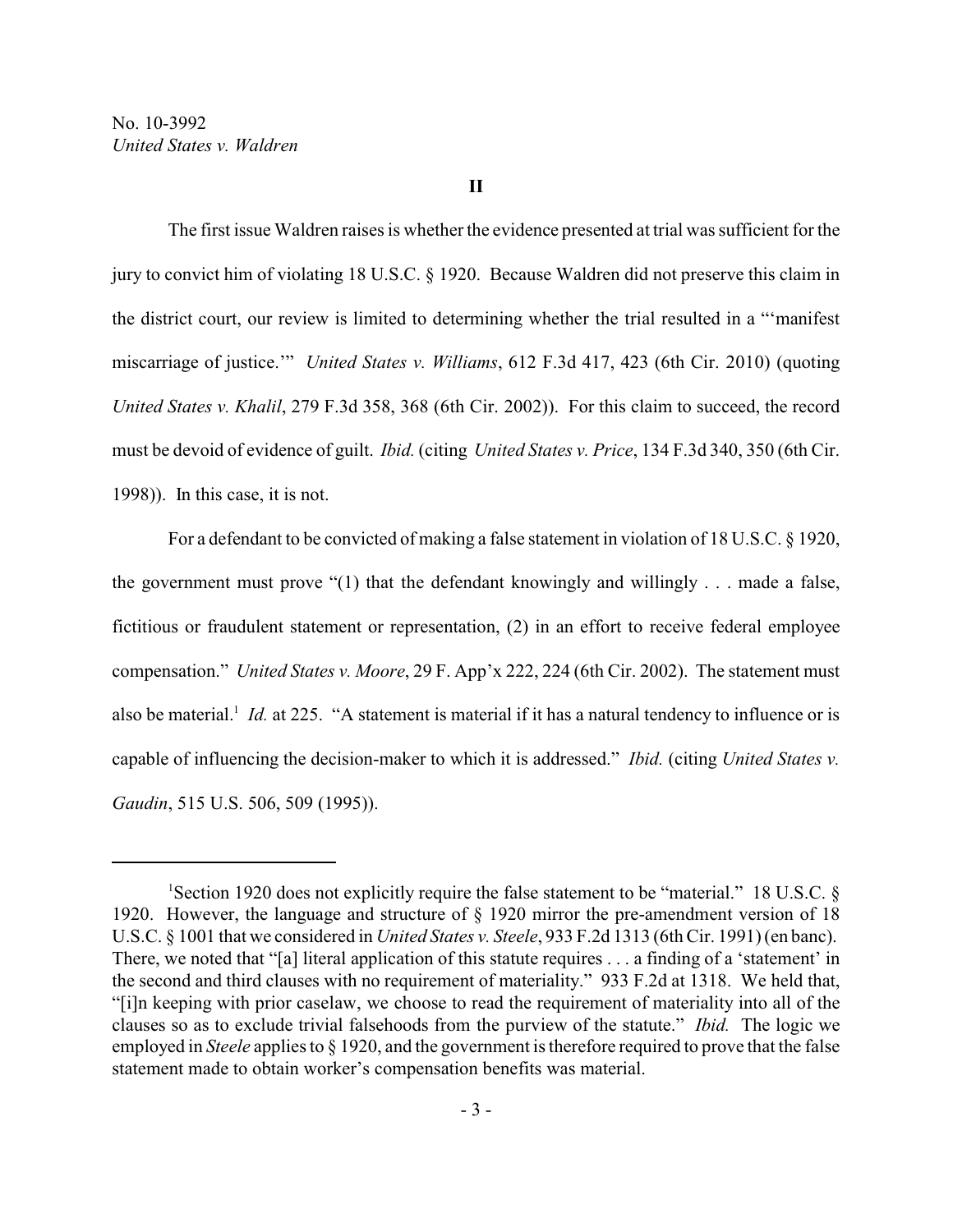The first issue Waldren raises is whether the evidence presented at trial was sufficient for the jury to convict him of violating 18 U.S.C. § 1920. Because Waldren did not preserve this claim in the district court, our review is limited to determining whether the trial resulted in a "'manifest miscarriage of justice.'" *United States v. Williams*, 612 F.3d 417, 423 (6th Cir. 2010) (quoting *United States v. Khalil*, 279 F.3d 358, 368 (6th Cir. 2002)). For this claim to succeed, the record must be devoid of evidence of guilt. *Ibid.* (citing *United States v. Price*, 134 F.3d 340, 350 (6th Cir. 1998)). In this case, it is not.

For a defendant to be convicted of making a false statement in violation of 18 U.S.C. § 1920, the government must prove "(1) that the defendant knowingly and willingly . . . made a false, fictitious or fraudulent statement or representation, (2) in an effort to receive federal employee compensation." *United States v. Moore*, 29 F. App'x 222, 224 (6th Cir. 2002). The statement must also be material.<sup>1</sup> Id. at 225. "A statement is material if it has a natural tendency to influence or is capable of influencing the decision-maker to which it is addressed." *Ibid.* (citing *United States v. Gaudin*, 515 U.S. 506, 509 (1995)).

<sup>&</sup>lt;sup>1</sup>Section 1920 does not explicitly require the false statement to be "material." 18 U.S.C. § 1920. However, the language and structure of § 1920 mirror the pre-amendment version of 18 U.S.C. § 1001 that we considered in *United States v. Steele*, 933 F.2d 1313 (6th Cir. 1991) (en banc). There, we noted that "[a] literal application of this statute requires . . . a finding of a 'statement' in the second and third clauses with no requirement of materiality." 933 F.2d at 1318. We held that, "[i]n keeping with prior caselaw, we choose to read the requirement of materiality into all of the clauses so as to exclude trivial falsehoods from the purview of the statute." *Ibid.* The logic we employed in *Steele* applies to § 1920, and the government is therefore required to prove that the false statement made to obtain worker's compensation benefits was material.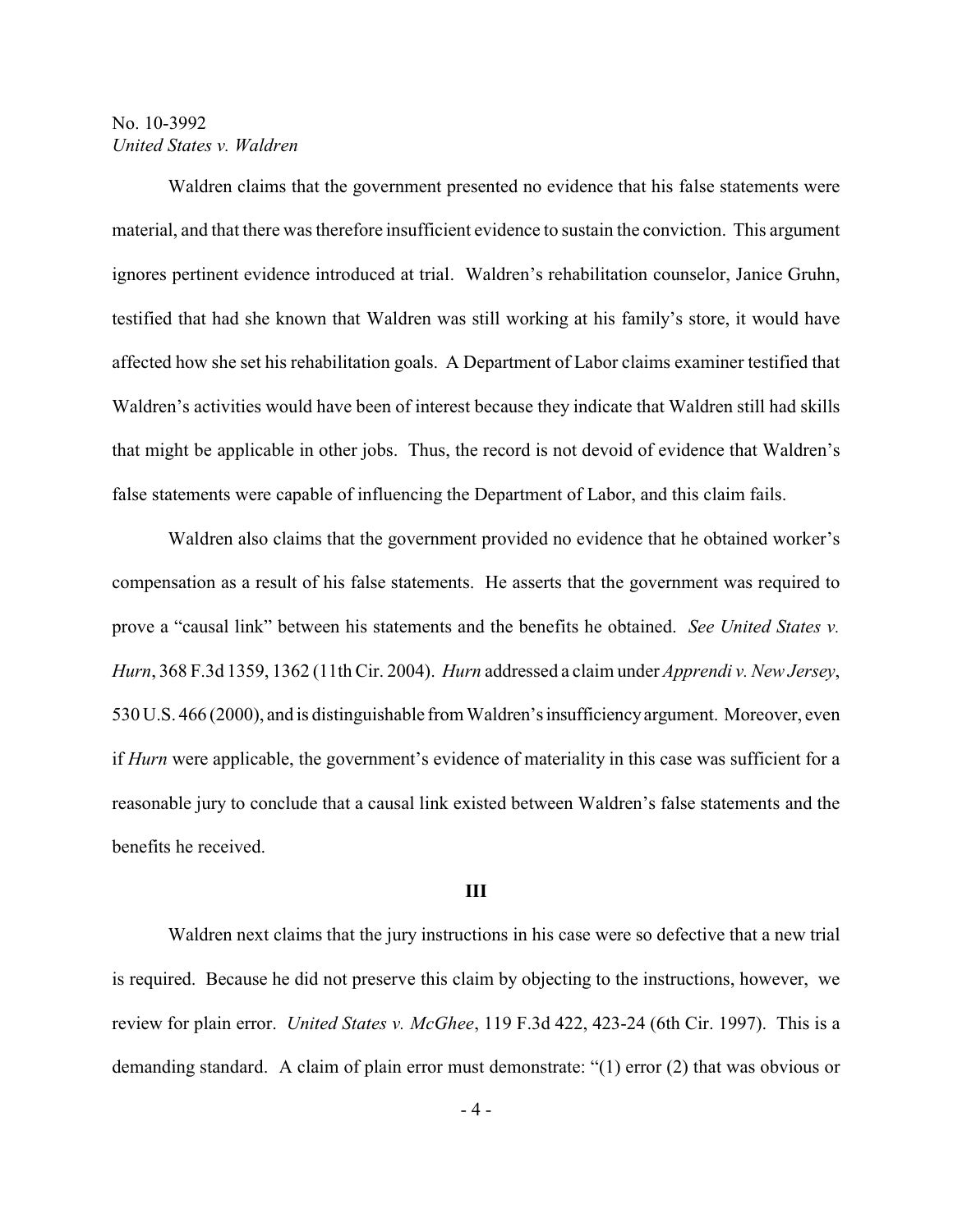Waldren claims that the government presented no evidence that his false statements were material, and that there was therefore insufficient evidence to sustain the conviction. This argument ignores pertinent evidence introduced at trial. Waldren's rehabilitation counselor, Janice Gruhn, testified that had she known that Waldren was still working at his family's store, it would have affected how she set his rehabilitation goals. A Department of Labor claims examiner testified that Waldren's activities would have been of interest because they indicate that Waldren still had skills that might be applicable in other jobs. Thus, the record is not devoid of evidence that Waldren's false statements were capable of influencing the Department of Labor, and this claim fails.

Waldren also claims that the government provided no evidence that he obtained worker's compensation as a result of his false statements. He asserts that the government was required to prove a "causal link" between his statements and the benefits he obtained. *See United States v. Hurn*, 368 F.3d 1359, 1362 (11th Cir. 2004). *Hurn* addressed a claim under *Apprendi v. New Jersey*, 530 U.S. 466 (2000), and is distinguishable from Waldren'sinsufficiencyargument. Moreover, even if *Hurn* were applicable, the government's evidence of materiality in this case was sufficient for a reasonable jury to conclude that a causal link existed between Waldren's false statements and the benefits he received.

#### **III**

Waldren next claims that the jury instructions in his case were so defective that a new trial is required. Because he did not preserve this claim by objecting to the instructions, however, we review for plain error. *United States v. McGhee*, 119 F.3d 422, 423-24 (6th Cir. 1997). This is a demanding standard. A claim of plain error must demonstrate: "(1) error (2) that was obvious or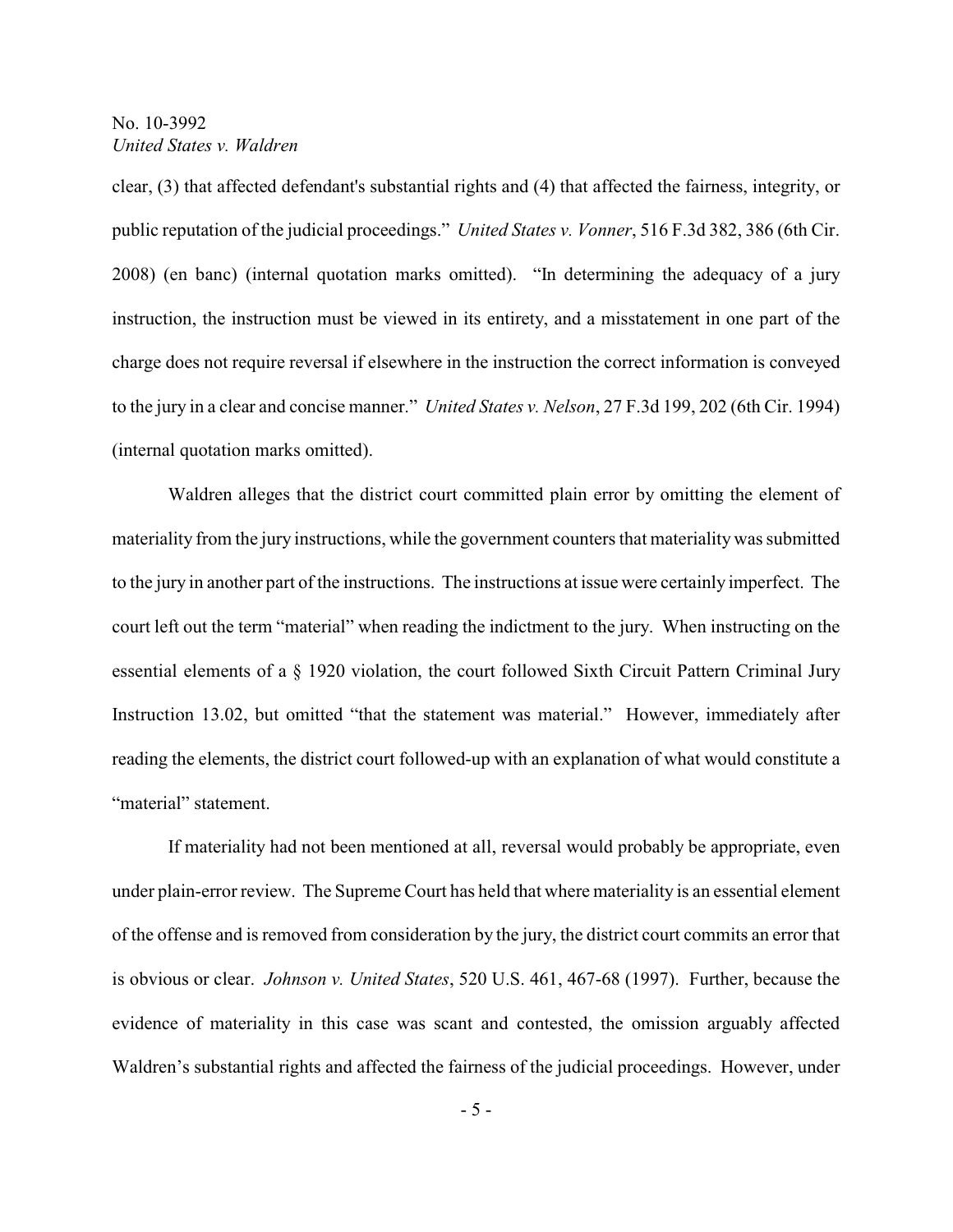clear, (3) that affected defendant's substantial rights and (4) that affected the fairness, integrity, or public reputation of the judicial proceedings." *United States v. Vonner*, 516 F.3d 382, 386 (6th Cir. 2008) (en banc) (internal quotation marks omitted). "In determining the adequacy of a jury instruction, the instruction must be viewed in its entirety, and a misstatement in one part of the charge does not require reversal if elsewhere in the instruction the correct information is conveyed to the jury in a clear and concise manner." *United States v. Nelson*, 27 F.3d 199, 202 (6th Cir. 1994) (internal quotation marks omitted).

Waldren alleges that the district court committed plain error by omitting the element of materiality from the jury instructions, while the government counters that materiality was submitted to the jury in another part of the instructions. The instructions at issue were certainly imperfect. The court left out the term "material" when reading the indictment to the jury. When instructing on the essential elements of a § 1920 violation, the court followed Sixth Circuit Pattern Criminal Jury Instruction 13.02, but omitted "that the statement was material." However, immediately after reading the elements, the district court followed-up with an explanation of what would constitute a "material" statement.

If materiality had not been mentioned at all, reversal would probably be appropriate, even under plain-error review. The Supreme Court has held that where materiality is an essential element of the offense and is removed from consideration by the jury, the district court commits an error that is obvious or clear. *Johnson v. United States*, 520 U.S. 461, 467-68 (1997). Further, because the evidence of materiality in this case was scant and contested, the omission arguably affected Waldren's substantial rights and affected the fairness of the judicial proceedings. However, under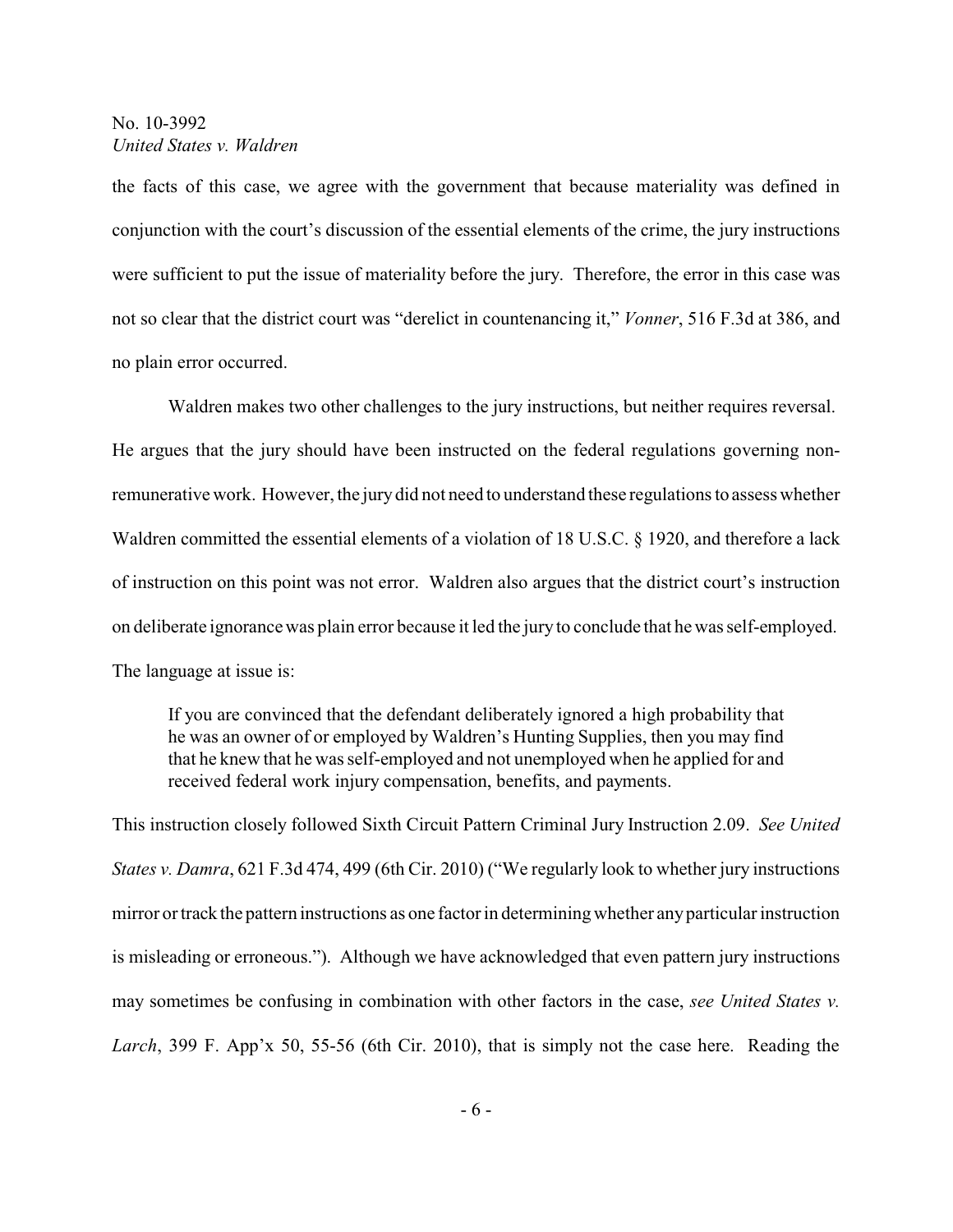the facts of this case, we agree with the government that because materiality was defined in conjunction with the court's discussion of the essential elements of the crime, the jury instructions were sufficient to put the issue of materiality before the jury. Therefore, the error in this case was not so clear that the district court was "derelict in countenancing it," *Vonner*, 516 F.3d at 386, and no plain error occurred.

Waldren makes two other challenges to the jury instructions, but neither requires reversal. He argues that the jury should have been instructed on the federal regulations governing nonremunerative work. However, the jurydid not need to understand these regulations to assess whether Waldren committed the essential elements of a violation of 18 U.S.C. § 1920, and therefore a lack of instruction on this point was not error. Waldren also argues that the district court's instruction on deliberate ignorancewas plain error because it led the juryto conclude that he was self-employed. The language at issue is:

If you are convinced that the defendant deliberately ignored a high probability that he was an owner of or employed by Waldren's Hunting Supplies, then you may find that he knew that he was self-employed and not unemployed when he applied for and received federal work injury compensation, benefits, and payments.

This instruction closely followed Sixth Circuit Pattern Criminal Jury Instruction 2.09. *See United States v. Damra*, 621 F.3d 474, 499 (6th Cir. 2010) ("We regularly look to whether jury instructions mirror or track the pattern instructions as one factor in determining whether anyparticular instruction is misleading or erroneous."). Although we have acknowledged that even pattern jury instructions may sometimes be confusing in combination with other factors in the case, *see United States v. Larch*, 399 F. App'x 50, 55-56 (6th Cir. 2010), that is simply not the case here. Reading the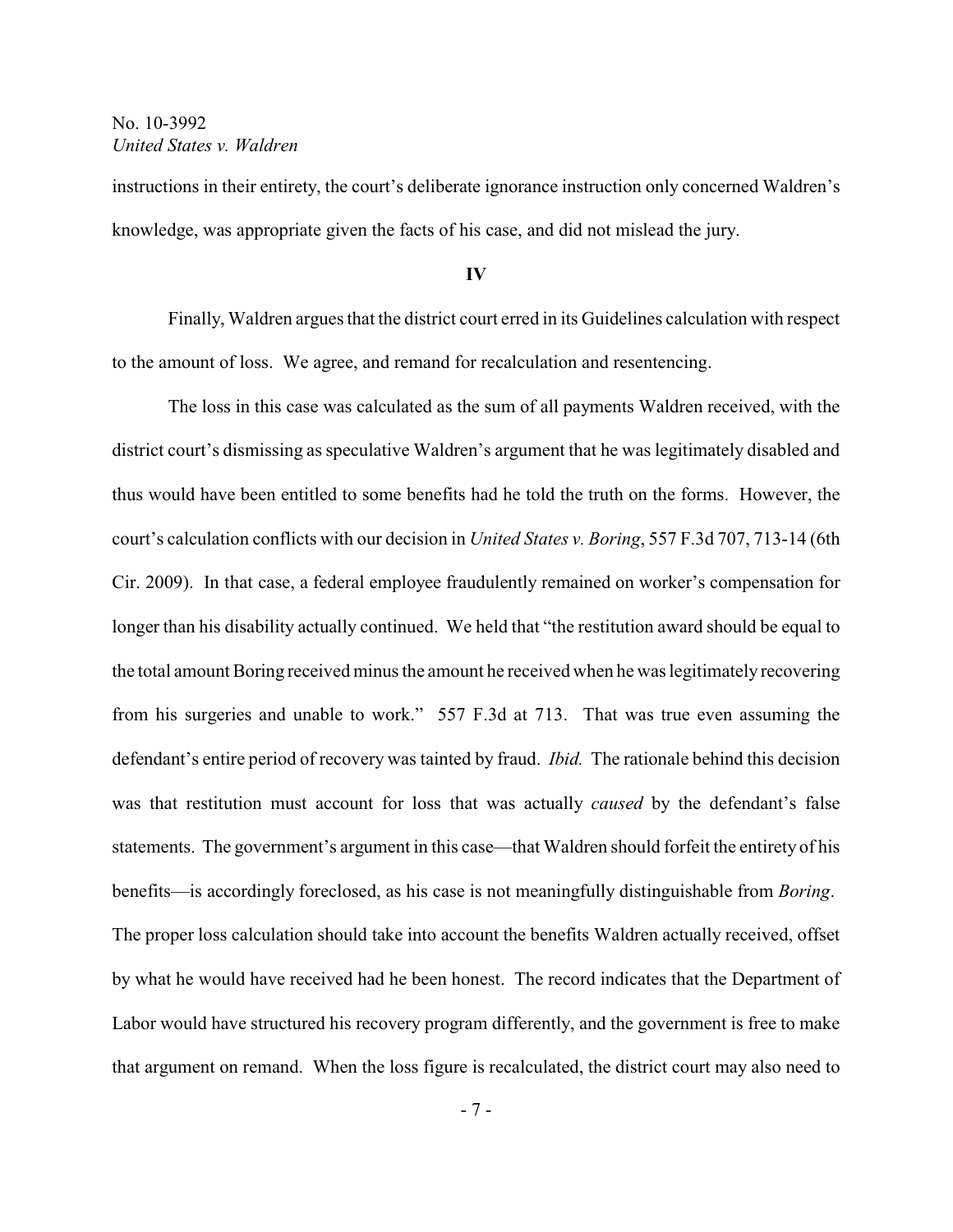instructions in their entirety, the court's deliberate ignorance instruction only concerned Waldren's knowledge, was appropriate given the facts of his case, and did not mislead the jury.

#### **IV**

Finally, Waldren argues that the district court erred in its Guidelines calculation with respect to the amount of loss. We agree, and remand for recalculation and resentencing.

The loss in this case was calculated as the sum of all payments Waldren received, with the district court's dismissing as speculative Waldren's argument that he was legitimately disabled and thus would have been entitled to some benefits had he told the truth on the forms. However, the court's calculation conflicts with our decision in *United States v. Boring*, 557 F.3d 707, 713-14 (6th Cir. 2009). In that case, a federal employee fraudulently remained on worker's compensation for longer than his disability actually continued. We held that "the restitution award should be equal to the total amount Boring received minus the amount he received when he was legitimately recovering from his surgeries and unable to work." 557 F.3d at 713. That was true even assuming the defendant's entire period of recovery was tainted by fraud. *Ibid.* The rationale behind this decision was that restitution must account for loss that was actually *caused* by the defendant's false statements. The government's argument in this case—that Waldren should forfeit the entirety of his benefits—is accordingly foreclosed, as his case is not meaningfully distinguishable from *Boring*. The proper loss calculation should take into account the benefits Waldren actually received, offset by what he would have received had he been honest. The record indicates that the Department of Labor would have structured his recovery program differently, and the government is free to make that argument on remand. When the loss figure is recalculated, the district court may also need to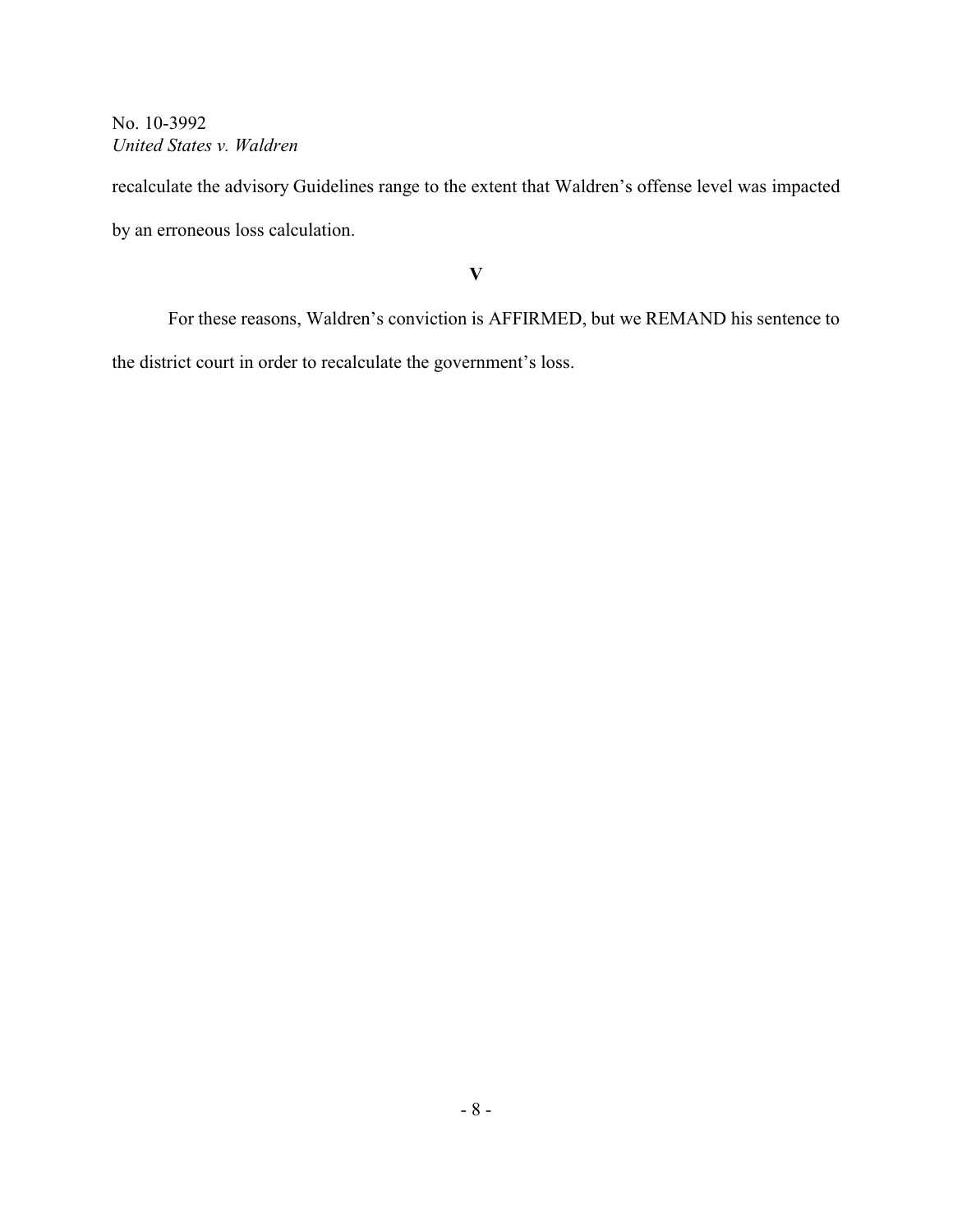recalculate the advisory Guidelines range to the extent that Waldren's offense level was impacted by an erroneous loss calculation.

**V**

For these reasons, Waldren's conviction is AFFIRMED, but we REMAND his sentence to the district court in order to recalculate the government's loss.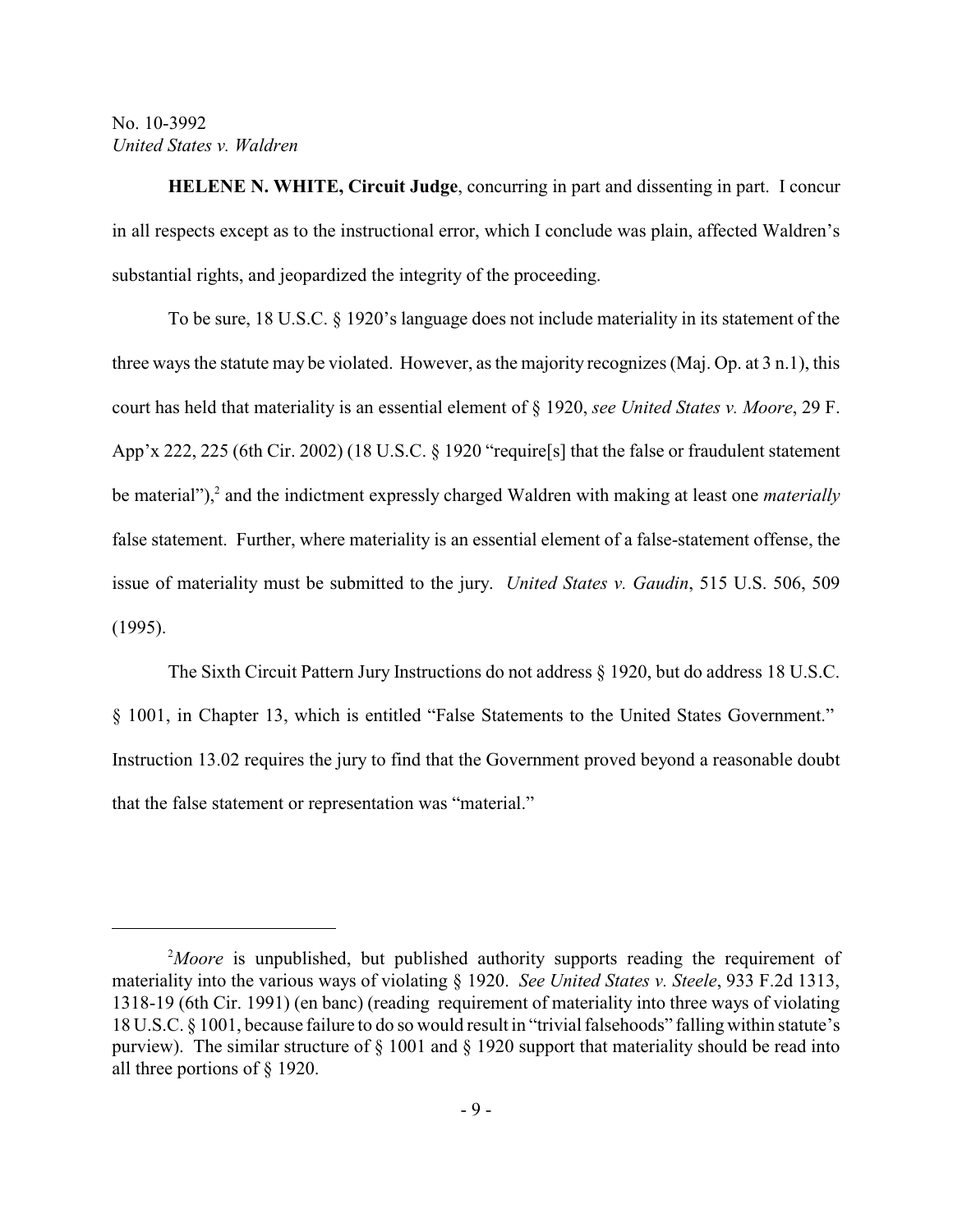**HELENE N. WHITE, Circuit Judge**, concurring in part and dissenting in part. I concur in all respects except as to the instructional error, which I conclude was plain, affected Waldren's substantial rights, and jeopardized the integrity of the proceeding.

To be sure, 18 U.S.C. § 1920's language does not include materiality in its statement of the three ways the statute may be violated. However, as the majority recognizes (Maj. Op. at 3 n.1), this court has held that materiality is an essential element of § 1920, *see United States v. Moore*, 29 F. App'x 222, 225 (6th Cir. 2002) (18 U.S.C. § 1920 "require[s] that the false or fraudulent statement be material"),<sup>2</sup> and the indictment expressly charged Waldren with making at least one *materially* false statement. Further, where materiality is an essential element of a false-statement offense, the issue of materiality must be submitted to the jury. *United States v. Gaudin*, 515 U.S. 506, 509 (1995).

The Sixth Circuit Pattern Jury Instructions do not address § 1920, but do address 18 U.S.C. § 1001, in Chapter 13, which is entitled "False Statements to the United States Government." Instruction 13.02 requires the jury to find that the Government proved beyond a reasonable doubt that the false statement or representation was "material."

<sup>&</sup>lt;sup>2</sup>Moore is unpublished, but published authority supports reading the requirement of materiality into the various ways of violating § 1920. *See United States v. Steele*, 933 F.2d 1313, 1318-19 (6th Cir. 1991) (en banc) (reading requirement of materiality into three ways of violating 18 U.S.C. § 1001, because failure to do so would result in "trivial falsehoods" falling within statute's purview). The similar structure of  $\S$  1001 and  $\S$  1920 support that materiality should be read into all three portions of § 1920.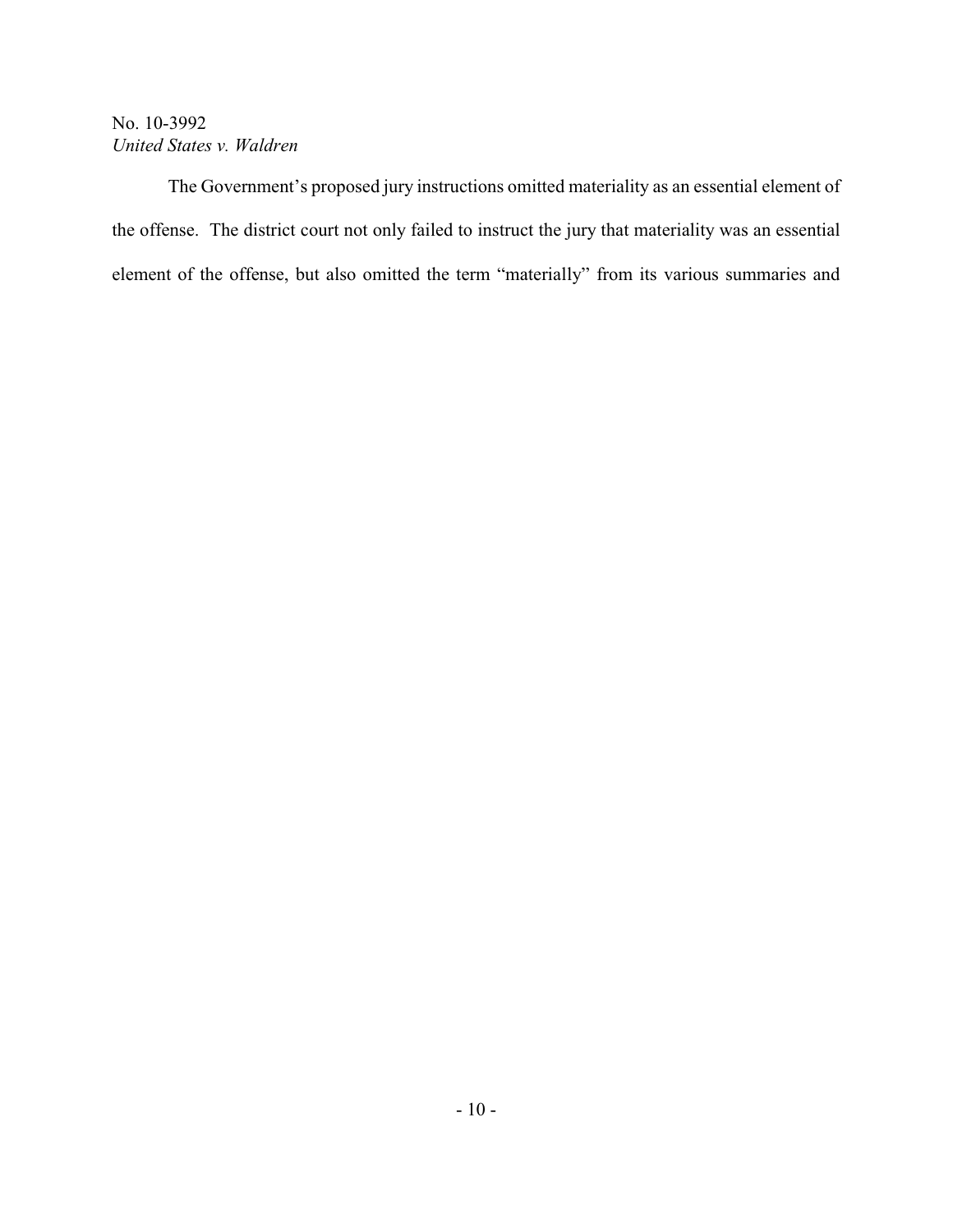The Government's proposed jury instructions omitted materiality as an essential element of the offense. The district court not only failed to instruct the jury that materiality was an essential element of the offense, but also omitted the term "materially" from its various summaries and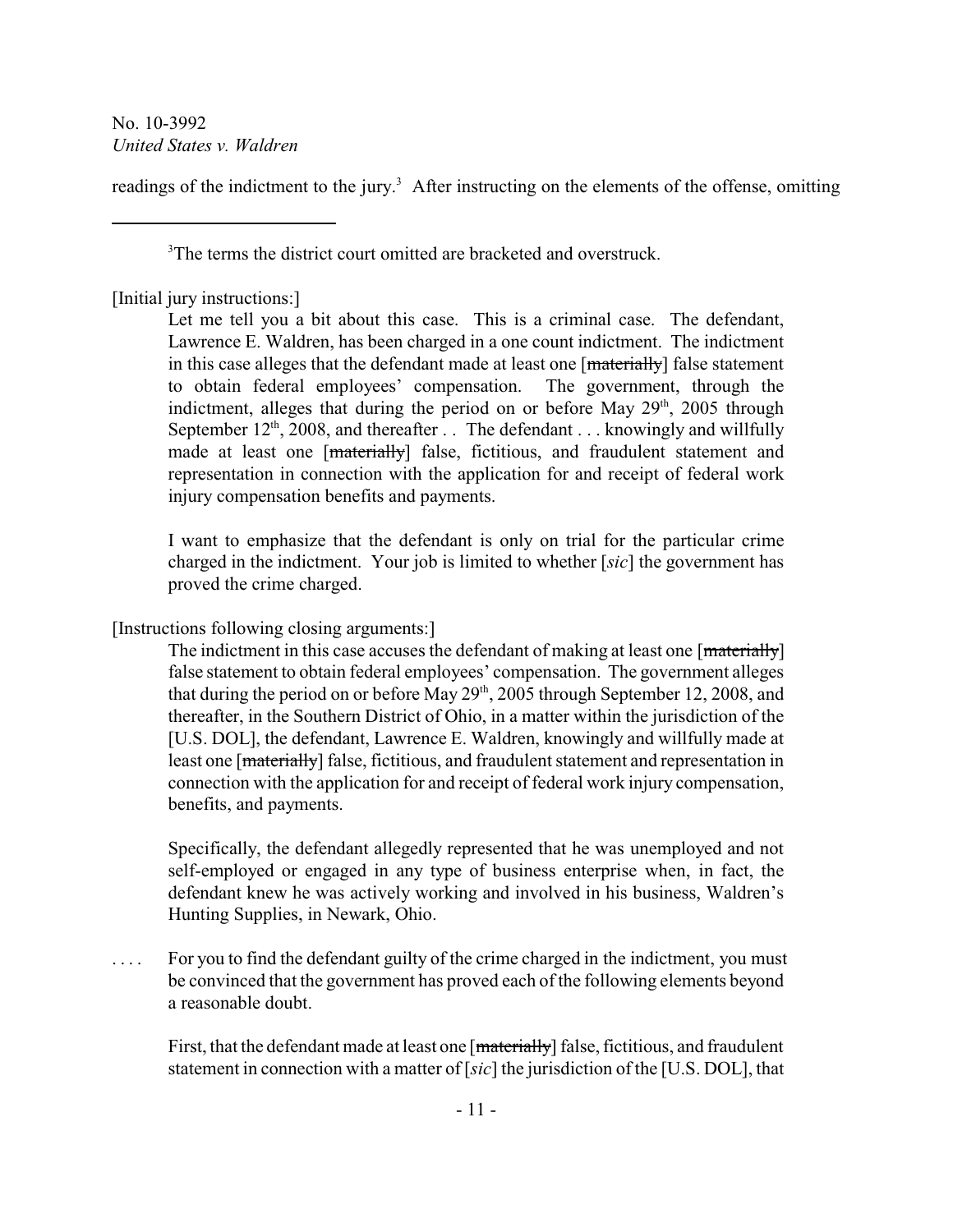readings of the indictment to the jury.<sup>3</sup> After instructing on the elements of the offense, omitting

<sup>3</sup>The terms the district court omitted are bracketed and overstruck.

[Initial jury instructions:]

Let me tell you a bit about this case. This is a criminal case. The defendant, Lawrence E. Waldren, has been charged in a one count indictment. The indictment in this case alleges that the defendant made at least one  $[\frac{materially}{}]$  false statement to obtain federal employees' compensation. The government, through the indictment, alleges that during the period on or before May  $29<sup>th</sup>$ , 2005 through September  $12<sup>th</sup>$ , 2008, and thereafter . . The defendant . . . knowingly and willfully made at least one [materially] false, fictitious, and fraudulent statement and representation in connection with the application for and receipt of federal work injury compensation benefits and payments.

I want to emphasize that the defendant is only on trial for the particular crime charged in the indictment. Your job is limited to whether [*sic*] the government has proved the crime charged.

[Instructions following closing arguments:]

The indictment in this case accuses the defendant of making at least one [materially] false statement to obtain federal employees' compensation. The government alleges that during the period on or before May  $29<sup>th</sup>$ , 2005 through September 12, 2008, and thereafter, in the Southern District of Ohio, in a matter within the jurisdiction of the [U.S. DOL], the defendant, Lawrence E. Waldren, knowingly and willfully made at least one [materially] false, fictitious, and fraudulent statement and representation in connection with the application for and receipt of federal work injury compensation, benefits, and payments.

Specifically, the defendant allegedly represented that he was unemployed and not self-employed or engaged in any type of business enterprise when, in fact, the defendant knew he was actively working and involved in his business, Waldren's Hunting Supplies, in Newark, Ohio.

. . . . For you to find the defendant guilty of the crime charged in the indictment, you must be convinced that the government has proved each of the following elements beyond a reasonable doubt.

First, that the defendant made at least one [materially] false, fictitious, and fraudulent statement in connection with a matter of [*sic*] the jurisdiction of the [U.S. DOL], that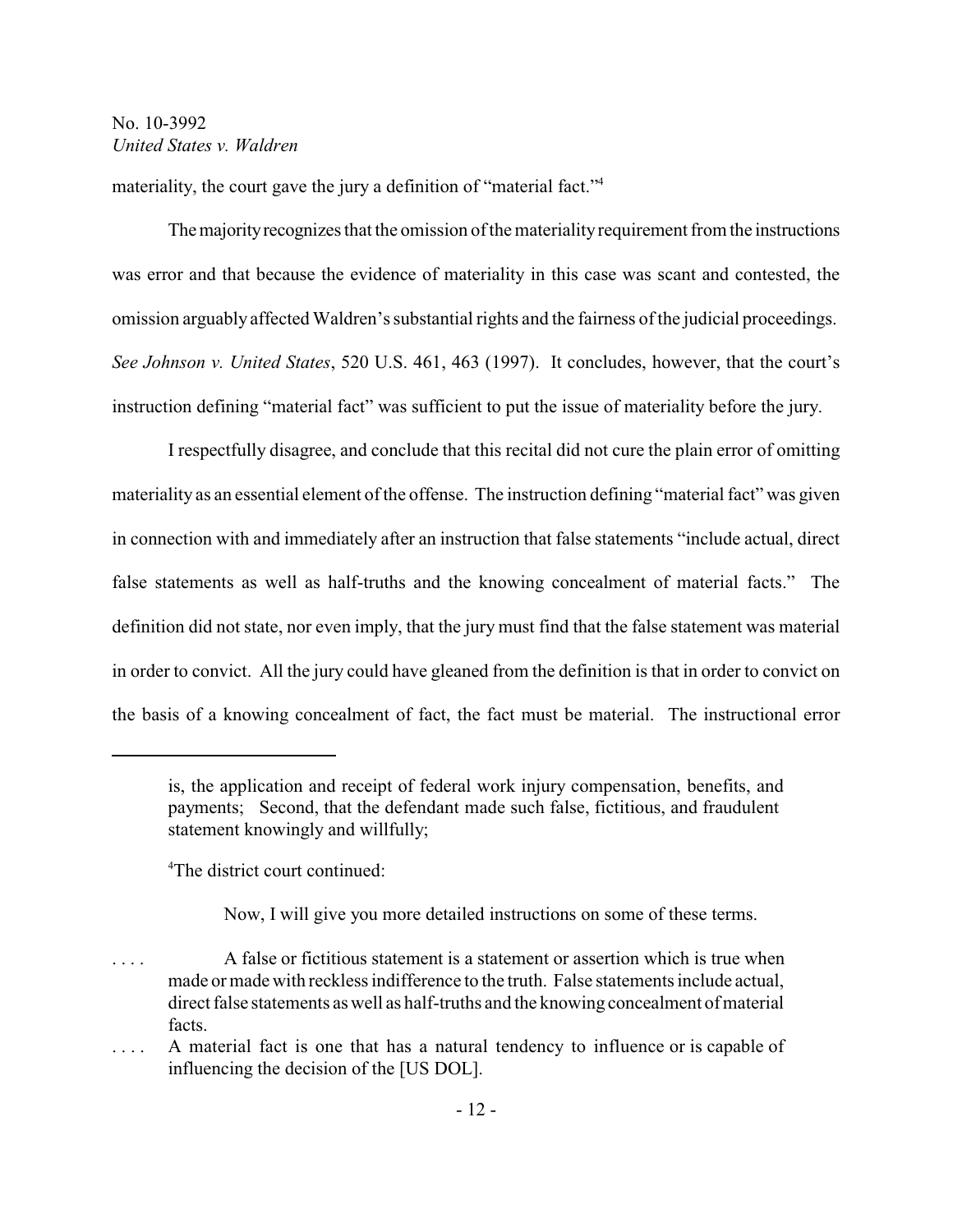materiality, the court gave the jury a definition of "material fact."<sup>4</sup>

The majority recognizes that the omission of the materiality requirement from the instructions was error and that because the evidence of materiality in this case was scant and contested, the omission arguably affected Waldren's substantial rights and the fairness of the judicial proceedings. *See Johnson v. United States*, 520 U.S. 461, 463 (1997). It concludes, however, that the court's instruction defining "material fact" was sufficient to put the issue of materiality before the jury.

I respectfully disagree, and conclude that this recital did not cure the plain error of omitting materiality as an essential element of the offense. The instruction defining "material fact" was given in connection with and immediately after an instruction that false statements "include actual, direct false statements as well as half-truths and the knowing concealment of material facts." The definition did not state, nor even imply, that the jury must find that the false statement was material in order to convict. All the jury could have gleaned from the definition is that in order to convict on the basis of a knowing concealment of fact, the fact must be material. The instructional error

<sup>4</sup>The district court continued:

Now, I will give you more detailed instructions on some of these terms.

is, the application and receipt of federal work injury compensation, benefits, and payments; Second, that the defendant made such false, fictitious, and fraudulent statement knowingly and willfully;

<sup>. . . .</sup> A false or fictitious statement is a statement or assertion which is true when made or made with reckless indifference to the truth. False statements include actual, direct false statements as well as half-truths and the knowing concealment of material facts.

<sup>. . . .</sup> A material fact is one that has a natural tendency to influence or is capable of influencing the decision of the [US DOL].